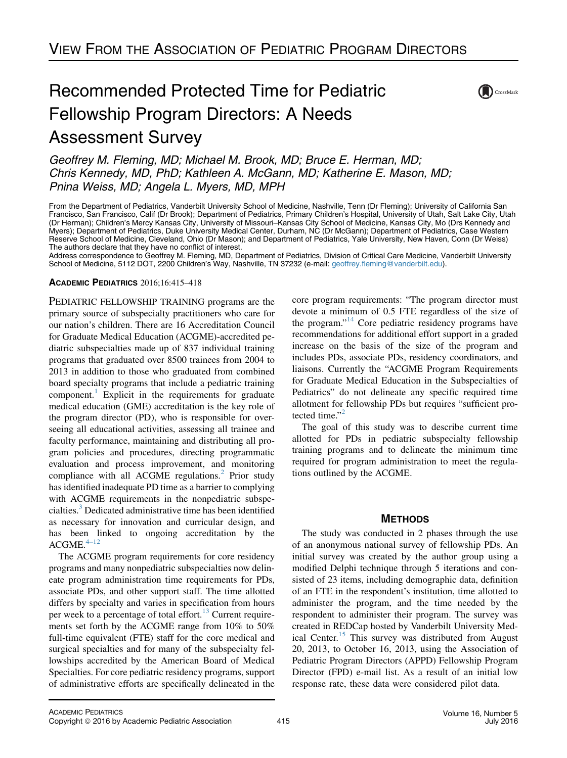# Recommended Protected Time for Pediatric Fellowship Program Directors: A Needs Assessment Survey



Geoffrey M. Fleming, MD; Michael M. Brook, MD; Bruce E. Herman, MD; Chris Kennedy, MD, PhD; Kathleen A. McGann, MD; Katherine E. Mason, MD; Pnina Weiss, MD; Angela L. Myers, MD, MPH

From the Department of Pediatrics, Vanderbilt University School of Medicine, Nashville, Tenn (Dr Fleming); University of California San Francisco, San Francisco, Calif (Dr Brook); Department of Pediatrics, Primary Children's Hospital, University of Utah, Salt Lake City, Utah (Dr Herman); Children's Mercy Kansas City, University of Missouri–Kansas City School of Medicine, Kansas City, Mo (Drs Kennedy and Myers); Department of Pediatrics, Duke University Medical Center, Durham, NC (Dr McGann); Department of Pediatrics, Case Western Reserve School of Medicine, Cleveland, Ohio (Dr Mason); and Department of Pediatrics, Yale University, New Haven, Conn (Dr Weiss) The authors declare that they have no conflict of interest.

Address correspondence to Geoffrey M. Fleming, MD, Department of Pediatrics, Division of Critical Care Medicine, Vanderbilt University School of Medicine, 5112 DOT, 2200 Children's Way, Nashville, TN 37232 (e-mail: [geoffrey.fleming@vanderbilt.edu](mailto:geoffrey.fleming@vanderbilt.edu)).

## ACADEMIC PEDIATRICS 2016;16:415–418

PEDIATRIC FELLOWSHIP TRAINING programs are the primary source of subspecialty practitioners who care for our nation's children. There are 16 Accreditation Council for Graduate Medical Education (ACGME)-accredited pediatric subspecialties made up of 837 individual training programs that graduated over 8500 trainees from 2004 to 2013 in addition to those who graduated from combined board specialty programs that include a pediatric training component.<sup>[1](#page-3-0)</sup> Explicit in the requirements for graduate medical education (GME) accreditation is the key role of the program director (PD), who is responsible for overseeing all educational activities, assessing all trainee and faculty performance, maintaining and distributing all program policies and procedures, directing programmatic evaluation and process improvement, and monitoring compliance with all ACGME regulations. $<sup>2</sup>$  $<sup>2</sup>$  $<sup>2</sup>$  Prior study</sup> has identified inadequate PD time as a barrier to complying with ACGME requirements in the nonpediatric subspecialties.[3](#page-3-0) Dedicated administrative time has been identified as necessary for innovation and curricular design, and has been linked to ongoing accreditation by the  $ACGME.<sup>4-12</sup>$ 

The ACGME program requirements for core residency programs and many nonpediatric subspecialties now delineate program administration time requirements for PDs, associate PDs, and other support staff. The time allotted differs by specialty and varies in specification from hours per week to a percentage of total effort.<sup>[13](#page-3-0)</sup> Current requirements set forth by the ACGME range from 10% to 50% full-time equivalent (FTE) staff for the core medical and surgical specialties and for many of the subspecialty fellowships accredited by the American Board of Medical Specialties. For core pediatric residency programs, support of administrative efforts are specifically delineated in the core program requirements: "The program director must devote a minimum of 0.5 FTE regardless of the size of the program."<sup>[14](#page-3-0)</sup> Core pediatric residency programs have recommendations for additional effort support in a graded increase on the basis of the size of the program and includes PDs, associate PDs, residency coordinators, and liaisons. Currently the "ACGME Program Requirements for Graduate Medical Education in the Subspecialties of Pediatrics" do not delineate any specific required time allotment for fellowship PDs but requires "sufficient protected time." $<sup>2</sup>$  $<sup>2</sup>$  $<sup>2</sup>$ </sup>

The goal of this study was to describe current time allotted for PDs in pediatric subspecialty fellowship training programs and to delineate the minimum time required for program administration to meet the regulations outlined by the ACGME.

# **METHODS**

The study was conducted in 2 phases through the use of an anonymous national survey of fellowship PDs. An initial survey was created by the author group using a modified Delphi technique through 5 iterations and consisted of 23 items, including demographic data, definition of an FTE in the respondent's institution, time allotted to administer the program, and the time needed by the respondent to administer their program. The survey was created in REDCap hosted by Vanderbilt University Med-ical Center.<sup>[15](#page-3-0)</sup> This survey was distributed from August 20, 2013, to October 16, 2013, using the Association of Pediatric Program Directors (APPD) Fellowship Program Director (FPD) e-mail list. As a result of an initial low response rate, these data were considered pilot data.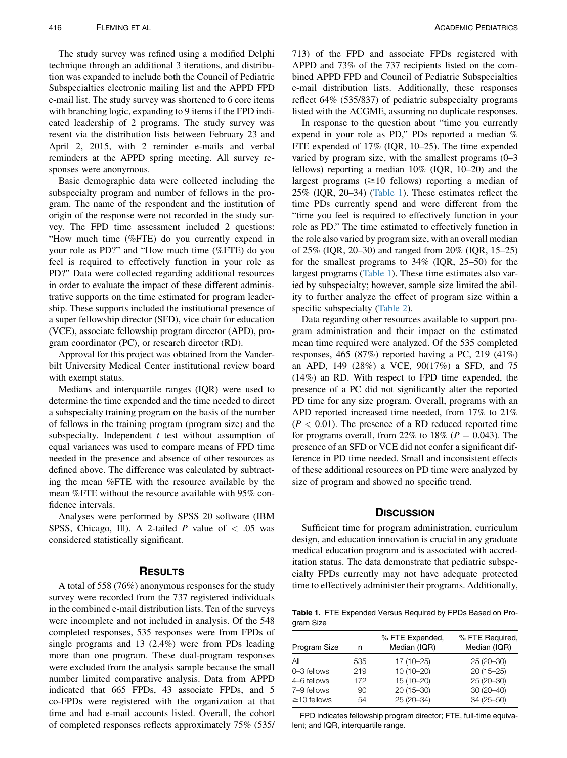The study survey was refined using a modified Delphi technique through an additional 3 iterations, and distribution was expanded to include both the Council of Pediatric Subspecialties electronic mailing list and the APPD FPD e-mail list. The study survey was shortened to 6 core items with branching logic, expanding to 9 items if the FPD indicated leadership of 2 programs. The study survey was resent via the distribution lists between February 23 and April 2, 2015, with 2 reminder e-mails and verbal reminders at the APPD spring meeting. All survey responses were anonymous.

Basic demographic data were collected including the subspecialty program and number of fellows in the program. The name of the respondent and the institution of origin of the response were not recorded in the study survey. The FPD time assessment included 2 questions: "How much time (%FTE) do you currently expend in your role as PD?" and "How much time (%FTE) do you feel is required to effectively function in your role as PD?" Data were collected regarding additional resources in order to evaluate the impact of these different administrative supports on the time estimated for program leadership. These supports included the institutional presence of a super fellowship director (SFD), vice chair for education (VCE), associate fellowship program director (APD), program coordinator (PC), or research director (RD).

Approval for this project was obtained from the Vanderbilt University Medical Center institutional review board with exempt status.

Medians and interquartile ranges (IQR) were used to determine the time expended and the time needed to direct a subspecialty training program on the basis of the number of fellows in the training program (program size) and the subspecialty. Independent  $t$  test without assumption of equal variances was used to compare means of FPD time needed in the presence and absence of other resources as defined above. The difference was calculated by subtracting the mean %FTE with the resource available by the mean %FTE without the resource available with 95% confidence intervals.

Analyses were performed by SPSS 20 software (IBM SPSS, Chicago, Ill). A 2-tailed P value of  $< .05$  was considered statistically significant.

#### RESULTS

A total of 558 (76%) anonymous responses for the study survey were recorded from the 737 registered individuals in the combined e-mail distribution lists. Ten of the surveys were incomplete and not included in analysis. Of the 548 completed responses, 535 responses were from FPDs of single programs and 13 (2.4%) were from PDs leading more than one program. These dual-program responses were excluded from the analysis sample because the small number limited comparative analysis. Data from APPD indicated that 665 FPDs, 43 associate FPDs, and 5 co-FPDs were registered with the organization at that time and had e-mail accounts listed. Overall, the cohort of completed responses reflects approximately 75% (535/

713) of the FPD and associate FPDs registered with APPD and 73% of the 737 recipients listed on the combined APPD FPD and Council of Pediatric Subspecialties e-mail distribution lists. Additionally, these responses reflect 64% (535/837) of pediatric subspecialty programs listed with the ACGME, assuming no duplicate responses.

In response to the question about "time you currently expend in your role as PD," PDs reported a median % FTE expended of 17% (IQR, 10–25). The time expended varied by program size, with the smallest programs (0–3 fellows) reporting a median 10% (IQR, 10–20) and the largest programs  $(\geq 10$  fellows) reporting a median of 25% (IQR, 20–34) (Table 1). These estimates reflect the time PDs currently spend and were different from the "time you feel is required to effectively function in your role as PD." The time estimated to effectively function in the role also varied by program size, with an overall median of 25% (IQR, 20–30) and ranged from 20% (IQR, 15–25) for the smallest programs to 34% (IQR, 25–50) for the largest programs (Table 1). These time estimates also varied by subspecialty; however, sample size limited the ability to further analyze the effect of program size within a specific subspecialty [\(Table 2](#page-2-0)).

Data regarding other resources available to support program administration and their impact on the estimated mean time required were analyzed. Of the 535 completed responses, 465 (87%) reported having a PC, 219 (41%) an APD, 149 (28%) a VCE, 90(17%) a SFD, and 75 (14%) an RD. With respect to FPD time expended, the presence of a PC did not significantly alter the reported PD time for any size program. Overall, programs with an APD reported increased time needed, from 17% to 21%  $(P < 0.01)$ . The presence of a RD reduced reported time for programs overall, from 22% to 18% ( $P = 0.043$ ). The presence of an SFD or VCE did not confer a significant difference in PD time needed. Small and inconsistent effects of these additional resources on PD time were analyzed by size of program and showed no specific trend.

#### **DISCUSSION**

Sufficient time for program administration, curriculum design, and education innovation is crucial in any graduate medical education program and is associated with accreditation status. The data demonstrate that pediatric subspecialty FPDs currently may not have adequate protected time to effectively administer their programs. Additionally,

Table 1. FTE Expended Versus Required by FPDs Based on Program Size

| n   | % FTE Expended,<br>Median (IQR) | % FTE Required,<br>Median (IQR) |
|-----|---------------------------------|---------------------------------|
| 535 | 17 (10-25)                      | 25 (20-30)                      |
| 219 | $10(10-20)$                     | $20(15-25)$                     |
| 172 | 15 (10-20)                      | 25 (20-30)                      |
| 90  | $20(15 - 30)$                   | $30(20-40)$                     |
| 54  | 25 (20-34)                      | 34 (25-50)                      |
|     |                                 |                                 |

FPD indicates fellowship program director; FTE, full-time equivalent; and IQR, interquartile range.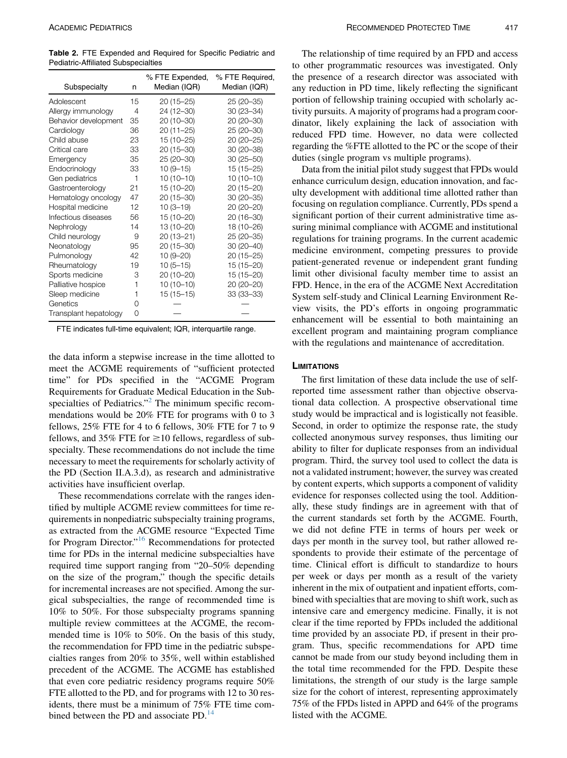<span id="page-2-0"></span>Table 2. FTE Expended and Required for Specific Pediatric and Pediatric-Affiliated Subspecialties

| Subspecialty          | n        | % FTE Expended,<br>Median (IQR) | % FTE Required,<br>Median (IQR) |
|-----------------------|----------|---------------------------------|---------------------------------|
| Adolescent            | 15       | $20(15 - 25)$                   | 25 (20-35)                      |
| Allergy immunology    | 4        | 24 (12-30)                      | 30 (23-34)                      |
| Behavior development  | 35       | 20 (10-30)                      | 20 (20-30)                      |
| Cardiology            | 36       | $20(11 - 25)$                   | 25 (20-30)                      |
| Child abuse           | 23       | 15 (10-25)                      | 20 (20-25)                      |
| Critical care         | 33       | 20 (15-30)                      | 30 (20-38)                      |
| Emergency             | 35       | 25 (20-30)                      | $30(25 - 50)$                   |
| Endocrinology         | 33       | $10(9 - 15)$                    | $15(15 - 25)$                   |
| Gen pediatrics        | 1        | $10(10-10)$                     | $10(10-10)$                     |
| Gastroenterology      | 21       | 15 (10-20)                      | $20(15 - 20)$                   |
| Hematology oncology   | 47       | 20 (15-30)                      | 30 (20-35)                      |
| Hospital medicine     | 12       | $10(3 - 19)$                    | 20 (20-20)                      |
| Infectious diseases   | 56       | 15 (10-20)                      | 20 (16-30)                      |
| Nephrology            | 14       | 13 (10-20)                      | 18 (10-26)                      |
| Child neurology       | 9        | $20(13 - 21)$                   | 25 (20-35)                      |
| Neonatology           | 95       | 20 (15-30)                      | 30 (20-40)                      |
| Pulmonology           | 42       | $10(9 - 20)$                    | $20(15 - 25)$                   |
| Rheumatology          | 19       | $10(5 - 15)$                    | $15(15 - 20)$                   |
| Sports medicine       | З        | 20 (10-20)                      | $15(15 - 20)$                   |
| Palliative hospice    | 1        | $10(10-10)$                     | 20 (20-20)                      |
| Sleep medicine        | 1        | $15(15-15)$                     | 33 (33-33)                      |
| Genetics              | $\Omega$ |                                 |                                 |
| Transplant hepatology | 0        |                                 |                                 |

FTE indicates full-time equivalent; IQR, interquartile range.

the data inform a stepwise increase in the time allotted to meet the ACGME requirements of "sufficient protected time" for PDs specified in the "ACGME Program Requirements for Graduate Medical Education in the Sub-specialties of Pediatrics."<sup>[2](#page-3-0)</sup> The minimum specific recommendations would be 20% FTE for programs with 0 to 3 fellows, 25% FTE for 4 to 6 fellows, 30% FTE for 7 to 9 fellows, and 35% FTE for  $\geq$ 10 fellows, regardless of subspecialty. These recommendations do not include the time necessary to meet the requirements for scholarly activity of the PD (Section II.A.3.d), as research and administrative activities have insufficient overlap.

These recommendations correlate with the ranges identified by multiple ACGME review committees for time requirements in nonpediatric subspecialty training programs, as extracted from the ACGME resource "Expected Time for Program Director."[16](#page-3-0) Recommendations for protected time for PDs in the internal medicine subspecialties have required time support ranging from "20–50% depending on the size of the program," though the specific details for incremental increases are not specified. Among the surgical subspecialties, the range of recommended time is 10% to 50%. For those subspecialty programs spanning multiple review committees at the ACGME, the recommended time is 10% to 50%. On the basis of this study, the recommendation for FPD time in the pediatric subspecialties ranges from 20% to 35%, well within established precedent of the ACGME. The ACGME has established that even core pediatric residency programs require 50% FTE allotted to the PD, and for programs with 12 to 30 residents, there must be a minimum of 75% FTE time combined between the PD and associate  $PD^{-14}$  $PD^{-14}$  $PD^{-14}$ 

The relationship of time required by an FPD and access to other programmatic resources was investigated. Only the presence of a research director was associated with any reduction in PD time, likely reflecting the significant portion of fellowship training occupied with scholarly activity pursuits. A majority of programs had a program coordinator, likely explaining the lack of association with reduced FPD time. However, no data were collected regarding the %FTE allotted to the PC or the scope of their duties (single program vs multiple programs).

Data from the initial pilot study suggest that FPDs would enhance curriculum design, education innovation, and faculty development with additional time allotted rather than focusing on regulation compliance. Currently, PDs spend a significant portion of their current administrative time assuring minimal compliance with ACGME and institutional regulations for training programs. In the current academic medicine environment, competing pressures to provide patient-generated revenue or independent grant funding limit other divisional faculty member time to assist an FPD. Hence, in the era of the ACGME Next Accreditation System self-study and Clinical Learning Environment Review visits, the PD's efforts in ongoing programmatic enhancement will be essential to both maintaining an excellent program and maintaining program compliance with the regulations and maintenance of accreditation.

#### **LIMITATIONS**

The first limitation of these data include the use of selfreported time assessment rather than objective observational data collection. A prospective observational time study would be impractical and is logistically not feasible. Second, in order to optimize the response rate, the study collected anonymous survey responses, thus limiting our ability to filter for duplicate responses from an individual program. Third, the survey tool used to collect the data is not a validated instrument; however, the survey was created by content experts, which supports a component of validity evidence for responses collected using the tool. Additionally, these study findings are in agreement with that of the current standards set forth by the ACGME. Fourth, we did not define FTE in terms of hours per week or days per month in the survey tool, but rather allowed respondents to provide their estimate of the percentage of time. Clinical effort is difficult to standardize to hours per week or days per month as a result of the variety inherent in the mix of outpatient and inpatient efforts, combined with specialties that are moving to shift work, such as intensive care and emergency medicine. Finally, it is not clear if the time reported by FPDs included the additional time provided by an associate PD, if present in their program. Thus, specific recommendations for APD time cannot be made from our study beyond including them in the total time recommended for the FPD. Despite these limitations, the strength of our study is the large sample size for the cohort of interest, representing approximately 75% of the FPDs listed in APPD and 64% of the programs listed with the ACGME.